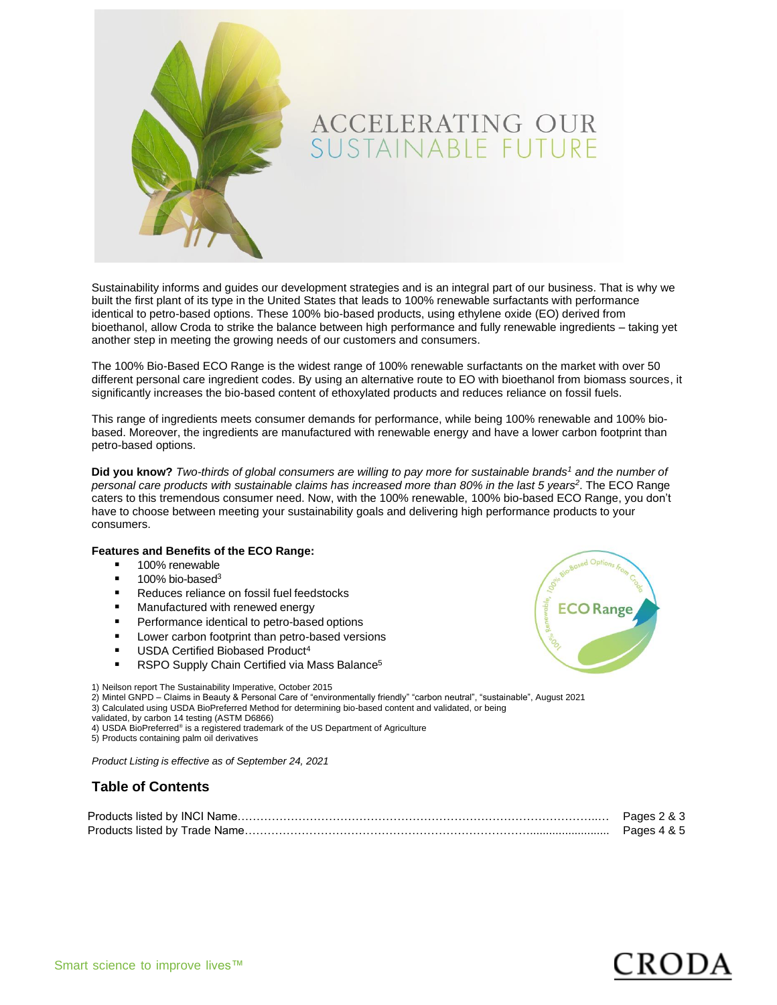

Sustainability informs and guides our development strategies and is an integral part of our business. That is why we built the first plant of its type in the United States that leads to 100% renewable surfactants with performance identical to petro-based options. These 100% bio-based products, using ethylene oxide (EO) derived from bioethanol, allow Croda to strike the balance between high performance and fully renewable ingredients – taking yet another step in meeting the growing needs of our customers and consumers.

The 100% Bio-Based ECO Range is the widest range of 100% renewable surfactants on the market with over 50 different personal care ingredient codes. By using an alternative route to EO with bioethanol from biomass sources, it significantly increases the bio-based content of ethoxylated products and reduces reliance on fossil fuels.

This range of ingredients meets consumer demands for performance, while being 100% renewable and 100% biobased. Moreover, the ingredients are manufactured with renewable energy and have a lower carbon footprint than petro-based options.

**Did you know?** *Two-thirds of global consumers are willing to pay more for sustainable brands<sup>1</sup> and the number of personal care products with sustainable claims has increased more than 80% in the last 5 years<sup>2</sup>* . The ECO Range caters to this tremendous consumer need. Now, with the 100% renewable, 100% bio-based ECO Range, you don't have to choose between meeting your sustainability goals and delivering high performance products to your consumers.

#### **Features and Benefits of the ECO Range:**

- 100% renewable
- $\blacksquare$  100% bio-based<sup>3</sup>
- Reduces reliance on fossil fuel feedstocks
- Manufactured with renewed energy
- **•** Performance identical to petro-based options
- Lower carbon footprint than petro-based versions
- **USDA Certified Biobased Product<sup>4</sup>**
- RSPO Supply Chain Certified via Mass Balance<sup>5</sup>

1) Neilson report The Sustainability Imperative, October 2015

2) Mintel GNPD – Claims in Beauty & Personal Care of "environmentally friendly" "carbon neutral", "sustainable", August 2021

- 3) Calculated using USDA BioPreferred Method for determining bio-based content and validated, or being
- 

validated, by carbon 14 testing (ASTM D6866)<br>4) USDA BioPreferred® is a registered trademark of the US Department of Agriculture

5) Products containing palm oil derivatives

*Product Listing is effective as of September 24, 2021*

#### **Table of Contents**

| Pages 2 & 3 |
|-------------|
| Pages 4 & 5 |



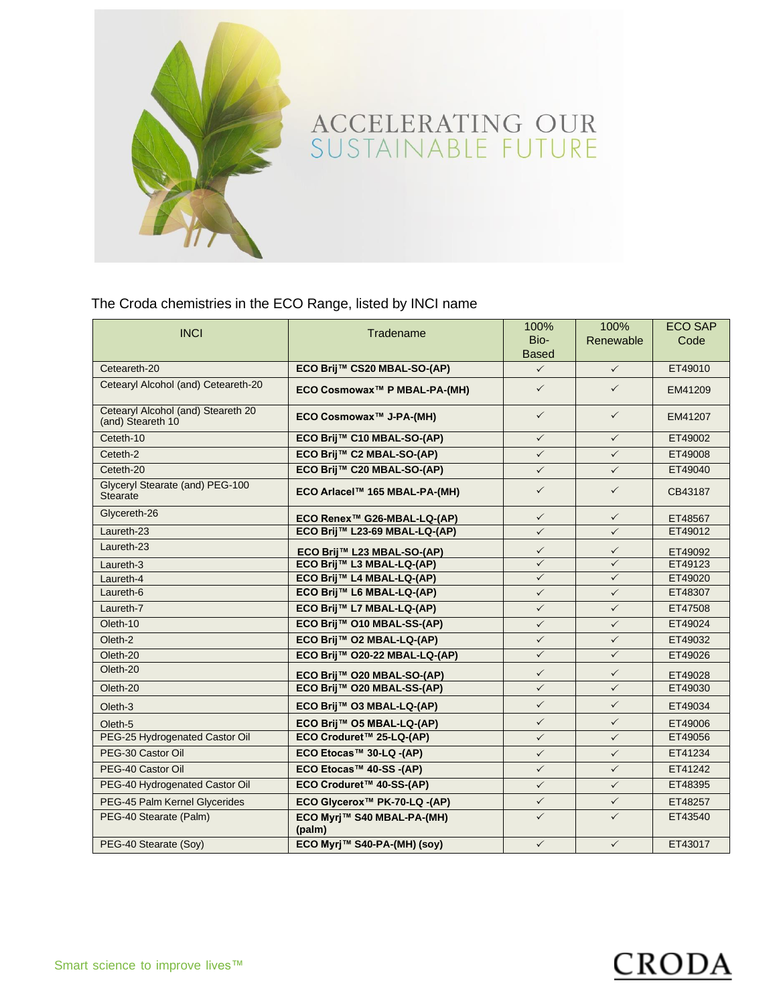

The Croda chemistries in the ECO Range, listed by INCI name

| <b>INCI</b>                                             | Tradename                                | 100%         | 100%         | <b>ECO SAP</b> |
|---------------------------------------------------------|------------------------------------------|--------------|--------------|----------------|
|                                                         |                                          | Bio-         | Renewable    | Code           |
|                                                         |                                          | <b>Based</b> |              |                |
| Ceteareth-20                                            | ECO Brij™ CS20 MBAL-SO-(AP)              | $\checkmark$ | $\checkmark$ | ET49010        |
| Cetearyl Alcohol (and) Ceteareth-20                     | ECO Cosmowax™ P MBAL-PA-(MH)             | $\checkmark$ | $\checkmark$ | EM41209        |
| Cetearyl Alcohol (and) Steareth 20<br>(and) Steareth 10 | ECO Cosmowax™ J-PA-(MH)                  | $\checkmark$ | $\checkmark$ | EM41207        |
| Ceteth-10                                               | ECO Brij™ C10 MBAL-SO-(AP)               | $\checkmark$ | $\checkmark$ | ET49002        |
| Ceteth-2                                                | ECO Brij™ C2 MBAL-SO-(AP)                | $\checkmark$ | $\checkmark$ | ET49008        |
| Ceteth-20                                               | ECO Brij™ C20 MBAL-SO-(AP)               | $\checkmark$ | $\checkmark$ | ET49040        |
| Glyceryl Stearate (and) PEG-100<br><b>Stearate</b>      | ECO Arlacel™ 165 MBAL-PA-(MH)            | $\checkmark$ | $\checkmark$ | CB43187        |
| Glycereth-26                                            | ECO Renex™ G26-MBAL-LQ-(AP)              | $\checkmark$ | $\checkmark$ | ET48567        |
| Laureth-23                                              | ECO Brij™ L23-69 MBAL-LQ-(AP)            | $\checkmark$ | $\checkmark$ | ET49012        |
| Laureth-23                                              | ECO Brij™ L23 MBAL-SO-(AP)               | $\checkmark$ | $\checkmark$ | ET49092        |
| Laureth-3                                               | ECO Brij™ L3 MBAL-LQ-(AP)                | $\checkmark$ | $\checkmark$ | ET49123        |
| Laureth-4                                               | ECO Brij™ L4 MBAL-LQ-(AP)                | $\checkmark$ | $\checkmark$ | ET49020        |
| Laureth-6                                               | ECO Brij™ L6 MBAL-LQ-(AP)                | $\checkmark$ | $\checkmark$ | ET48307        |
| Laureth-7                                               | ECO Brij™ L7 MBAL-LQ-(AP)                | $\checkmark$ | $\checkmark$ | ET47508        |
| Oleth-10                                                | ECO Brij™ O10 MBAL-SS-(AP)               | $\checkmark$ | $\checkmark$ | ET49024        |
| Oleth-2                                                 | ECO Brij™ O2 MBAL-LQ-(AP)                | $\checkmark$ | $\checkmark$ | ET49032        |
| Oleth-20                                                | ECO Brij™ O20-22 MBAL-LQ-(AP)            | $\checkmark$ | $\checkmark$ | ET49026        |
| Oleth-20                                                | ECO Brij™ O20 MBAL-SO-(AP)               | $\checkmark$ | $\checkmark$ | ET49028        |
| Oleth-20                                                | ECO Brij™ O20 MBAL-SS-(AP)               | $\checkmark$ | $\checkmark$ | ET49030        |
| Oleth-3                                                 | ECO Brij™ O3 MBAL-LQ-(AP)                | $\checkmark$ | $\checkmark$ | ET49034        |
| Oleth-5                                                 | ECO Brij™ O5 MBAL-LQ-(AP)                | $\checkmark$ | $\checkmark$ | ET49006        |
| PEG-25 Hydrogenated Castor Oil                          | ECO Croduret™ 25-LQ-(AP)                 | $\checkmark$ | $\checkmark$ | ET49056        |
| PEG-30 Castor Oil                                       | ECO Etocas™ 30-LQ -(AP)                  | $\checkmark$ | $\checkmark$ | ET41234        |
| PEG-40 Castor Oil                                       | ECO Etocas™ 40-SS -(AP)                  | $\checkmark$ | $\checkmark$ | ET41242        |
| PEG-40 Hydrogenated Castor Oil                          | ECO Croduret™ 40-SS-(AP)                 | $\checkmark$ | $\checkmark$ | ET48395        |
| PEG-45 Palm Kernel Glycerides                           | ECO Glycerox <sup>™</sup> PK-70-LQ -(AP) | $\checkmark$ | $\checkmark$ | ET48257        |
| PEG-40 Stearate (Palm)                                  | ECO Myrj™ S40 MBAL-PA-(MH)<br>(palm)     | $\checkmark$ | $\checkmark$ | ET43540        |
| PEG-40 Stearate (Soy)                                   | ECO Myrj™ S40-PA-(MH) (soy)              | $\checkmark$ | $\checkmark$ | ET43017        |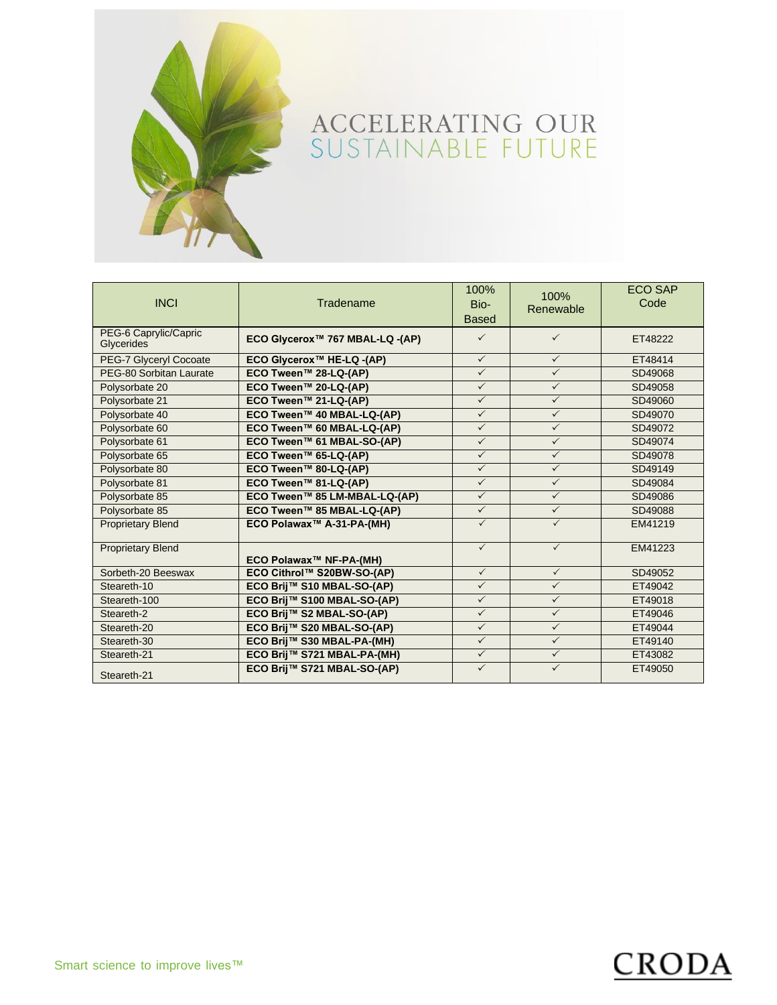

| <b>INCI</b>                         | Tradename                             | 100%<br>Bio-<br><b>Based</b> | 100%<br>Renewable | <b>ECO SAP</b><br>Code |
|-------------------------------------|---------------------------------------|------------------------------|-------------------|------------------------|
| PEG-6 Caprylic/Capric<br>Glycerides | ECO Glycerox™ 767 MBAL-LQ -(AP)       | $\checkmark$                 | $\checkmark$      | ET48222                |
| PEG-7 Glyceryl Cocoate              | ECO Glycerox <sup>™</sup> HE-LQ -(AP) | $\checkmark$                 | $\checkmark$      | ET48414                |
| PEG-80 Sorbitan Laurate             | ECO Tween™ 28-LQ-(AP)                 | $\checkmark$                 | $\checkmark$      | SD49068                |
| Polysorbate 20                      | ECO Tween™ 20-LQ-(AP)                 | $\checkmark$                 | $\checkmark$      | SD49058                |
| Polysorbate 21                      | ECO Tween™ 21-LQ-(AP)                 | $\checkmark$                 | $\checkmark$      | SD49060                |
| Polysorbate 40                      | ECO Tween™ 40 MBAL-LQ-(AP)            | $\checkmark$                 | $\checkmark$      | SD49070                |
| Polysorbate 60                      | ECO Tween™ 60 MBAL-LQ-(AP)            | $\checkmark$                 | $\checkmark$      | SD49072                |
| Polysorbate 61                      | ECO Tween™ 61 MBAL-SO-(AP)            | $\checkmark$                 | $\checkmark$      | SD49074                |
| Polysorbate 65                      | ECO Tween™ 65-LQ-(AP)                 | $\checkmark$                 | $\checkmark$      | SD49078                |
| Polysorbate 80                      | ECO Tween™ 80-LQ-(AP)                 | $\checkmark$                 | $\checkmark$      | SD49149                |
| Polysorbate 81                      | ECO Tween™ 81-LQ-(AP)                 | $\checkmark$                 | $\checkmark$      | SD49084                |
| Polysorbate 85                      | ECO Tween™ 85 LM-MBAL-LQ-(AP)         | $\checkmark$                 | $\checkmark$      | SD49086                |
| Polysorbate 85                      | ECO Tween™ 85 MBAL-LQ-(AP)            | $\checkmark$                 | $\checkmark$      | SD49088                |
| <b>Proprietary Blend</b>            | ECO Polawax™ A-31-PA-(MH)             | $\checkmark$                 | $\checkmark$      | EM41219                |
| <b>Proprietary Blend</b>            | ECO Polawax™ NF-PA-(MH)               | $\checkmark$                 | $\checkmark$      | EM41223                |
| Sorbeth-20 Beeswax                  | ECO Cithrol™ S20BW-SO-(AP)            | $\checkmark$                 | $\checkmark$      | SD49052                |
| Steareth-10                         | ECO Brij™ S10 MBAL-SO-(AP)            | $\checkmark$                 | $\checkmark$      | ET49042                |
| Steareth-100                        | ECO Brij™ S100 MBAL-SO-(AP)           | $\checkmark$                 | $\checkmark$      | ET49018                |
| Steareth-2                          | ECO Brij™ S2 MBAL-SO-(AP)             | $\checkmark$                 | $\checkmark$      | ET49046                |
| Steareth-20                         | ECO Brij™ S20 MBAL-SO-(AP)            | $\checkmark$                 | $\checkmark$      | ET49044                |
| Steareth-30                         | ECO Brij™ S30 MBAL-PA-(MH)            | $\checkmark$                 | $\checkmark$      | ET49140                |
| Steareth-21                         | ECO Brij™ S721 MBAL-PA-(MH)           | $\checkmark$                 | $\checkmark$      | ET43082                |
| Steareth-21                         | ECO Brij™ S721 MBAL-SO-(AP)           | $\checkmark$                 | $\checkmark$      | ET49050                |

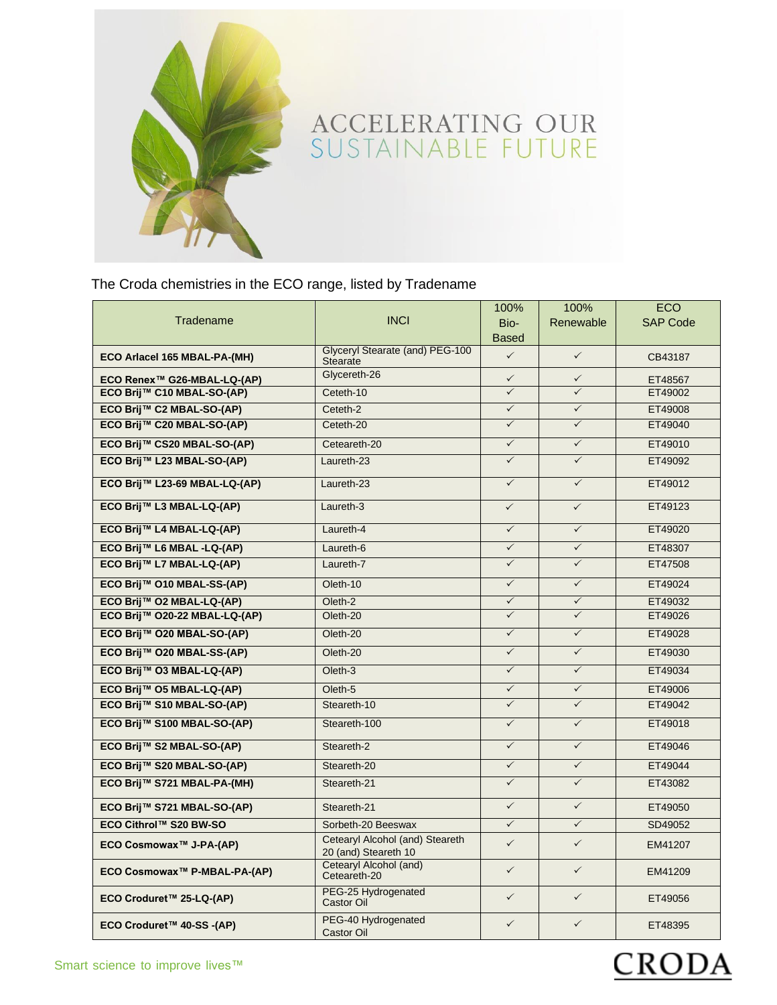

The Croda chemistries in the ECO range, listed by Tradename

| Tradename                     | <b>INCI</b>                                             | 100%<br>Bio- | 100%<br>Renewable | <b>ECO</b><br><b>SAP Code</b> |
|-------------------------------|---------------------------------------------------------|--------------|-------------------|-------------------------------|
|                               |                                                         | <b>Based</b> |                   |                               |
| ECO Arlacel 165 MBAL-PA-(MH)  | Glyceryl Stearate (and) PEG-100<br>Stearate             | $\checkmark$ | $\checkmark$      | CB43187                       |
| ECO Renex™ G26-MBAL-LQ-(AP)   | Glycereth-26                                            | $\checkmark$ | $\checkmark$      | ET48567                       |
| ECO Brij™ C10 MBAL-SO-(AP)    | Ceteth-10                                               |              |                   | ET49002                       |
| ECO Brij™ C2 MBAL-SO-(AP)     | Ceteth-2                                                | $\checkmark$ | $\checkmark$      | ET49008                       |
| ECO Brij™ C20 MBAL-SO-(AP)    | Ceteth-20                                               | $\checkmark$ | $\checkmark$      | ET49040                       |
| ECO Brij™ CS20 MBAL-SO-(AP)   | Ceteareth-20                                            | $\checkmark$ | $\checkmark$      | ET49010                       |
| ECO Brij™ L23 MBAL-SO-(AP)    | Laureth-23                                              | $\checkmark$ | $\checkmark$      | ET49092                       |
| ECO Brij™ L23-69 MBAL-LQ-(AP) | Laureth-23                                              | $\checkmark$ | $\checkmark$      | ET49012                       |
| ECO Brij™ L3 MBAL-LQ-(AP)     | Laureth-3                                               | $\checkmark$ | $\checkmark$      | ET49123                       |
| ECO Brij™ L4 MBAL-LQ-(AP)     | Laureth-4                                               | $\checkmark$ | $\checkmark$      | ET49020                       |
| ECO Brij™ L6 MBAL -LQ-(AP)    | Laureth-6                                               | $\checkmark$ | $\checkmark$      | ET48307                       |
| ECO Brij™ L7 MBAL-LQ-(AP)     | Laureth-7                                               | $\checkmark$ | $\checkmark$      | ET47508                       |
| ECO Brij™ O10 MBAL-SS-(AP)    | Oleth-10                                                | $\checkmark$ | $\checkmark$      | ET49024                       |
| ECO Brij™ O2 MBAL-LQ-(AP)     | Oleth-2                                                 | $\checkmark$ | $\checkmark$      | ET49032                       |
| ECO Brij™ O20-22 MBAL-LQ-(AP) | Oleth-20                                                | $\checkmark$ | $\checkmark$      | ET49026                       |
| ECO Brij™ O20 MBAL-SO-(AP)    | Oleth-20                                                | $\checkmark$ | $\checkmark$      | ET49028                       |
| ECO Brij™ O20 MBAL-SS-(AP)    | Oleth-20                                                | $\checkmark$ | $\checkmark$      | ET49030                       |
| ECO Brij™ O3 MBAL-LQ-(AP)     | Oleth-3                                                 | $\checkmark$ | $\checkmark$      | ET49034                       |
| ECO Brij™ O5 MBAL-LQ-(AP)     | Oleth-5                                                 | $\checkmark$ | $\checkmark$      | ET49006                       |
| ECO Brij™ S10 MBAL-SO-(AP)    | Steareth-10                                             | $\checkmark$ | $\checkmark$      | ET49042                       |
| ECO Brij™ S100 MBAL-SO-(AP)   | Steareth-100                                            | $\checkmark$ | $\checkmark$      | ET49018                       |
| ECO Brij™ S2 MBAL-SO-(AP)     | Steareth-2                                              | $\checkmark$ | $\checkmark$      | ET49046                       |
| ECO Brij™ S20 MBAL-SO-(AP)    | Steareth-20                                             | $\checkmark$ | $\checkmark$      | ET49044                       |
| ECO Brij™ S721 MBAL-PA-(MH)   | Steareth-21                                             | $\checkmark$ | $\checkmark$      | ET43082                       |
| ECO Brij™ S721 MBAL-SO-(AP)   | Steareth-21                                             | $\checkmark$ | $\checkmark$      | ET49050                       |
| ECO Cithrol™ S20 BW-SO        | Sorbeth-20 Beeswax                                      | $\checkmark$ | $\checkmark$      | SD49052                       |
| ECO Cosmowax™ J-PA-(AP)       | Cetearyl Alcohol (and) Steareth<br>20 (and) Steareth 10 | $\checkmark$ | $\checkmark$      | EM41207                       |
| ECO Cosmowax™ P-MBAL-PA-(AP)  | Cetearyl Alcohol (and)<br>Ceteareth-20                  | $\checkmark$ | $\checkmark$      | EM41209                       |
| ECO Croduret™ 25-LQ-(AP)      | PEG-25 Hydrogenated<br>Castor Oil                       | $\checkmark$ | $\checkmark$      | ET49056                       |
| ECO Croduret™ 40-SS -(AP)     | PEG-40 Hydrogenated<br>Castor Oil                       | $\checkmark$ | $\checkmark$      | ET48395                       |